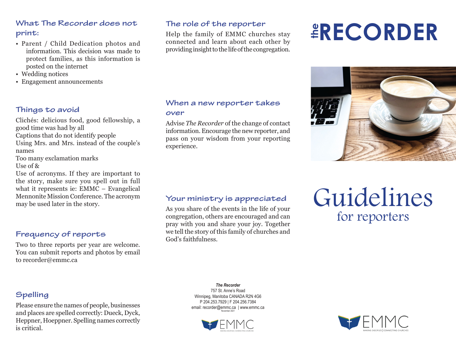# **What The Recorder does not print:**

- Parent / Child Dedication photos and information. This decision was made to protect families, as this information is posted on the internet
- Wedding notices
- Engagement announcements

# **Things to avoid**

Clichés: delicious food, good fellowship, a good time was had by all Captions that do not identify people Using Mrs. and Mrs. instead of the couple's names Too many exclamation marks Use of & Use of acronyms. If they are important to the story, make sure you spell out in full what it represents ie: EMMC – Evangelical Mennonite Mission Conference. The acronym may be used later in the story.

# **Frequency of reports**

Two to three reports per year are welcome. You can submit reports and photos by email to recorder@emmc.ca

# **The role of the reporter**

Help the family of EMMC churches stay connected and learn about each other by providing insight to the life of the congregation.

#### **When a new reporter takes over**

Advise *The Recorder* of the change of contact information. Encourage the new reporter, and pass on your wisdom from your reporting experience.

# **the RECORDER**



# **Your ministry is appreciated**

As you share of the events in the life of your congregation, others are encouraged and can pray with you and share your joy. Together we tell the story of this family of churches and God's faithfulness.

# Guidelines for reporters

# **Spelling**

Please ensure the names of people, businesses and places are spelled correctly: Dueck, Dyck, Heppner, Hoeppner. Spelling names correctly is critical.

*The Recorder* 757 St. Anne's Road Winnipeg, Manitoba CANADA R2N 4G6 P 204.253.7929 | F 204.256.7384 email: recorder@emmc.ca | www.emmc.ca